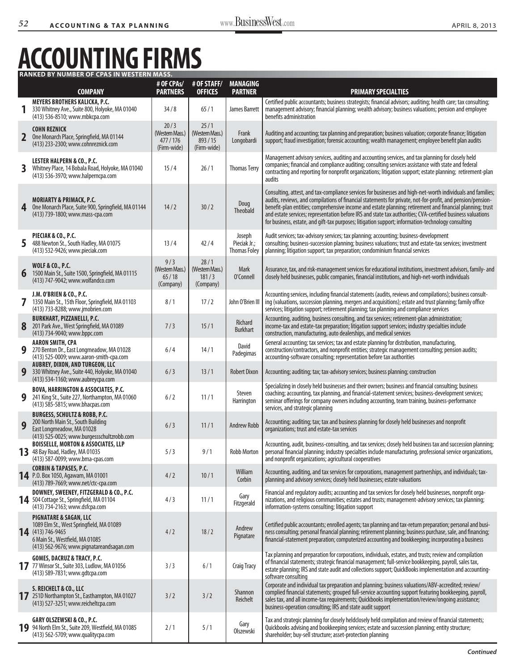## **Accounting Firms Ranked by Number of CPAs in Western Mass.**

|                         | <b>COMPANY</b>                                                                                                                                                                     | # OF CPAs/<br><b>PARTNERS</b>                     | # OF STAFF/<br><b>OFFICES</b>                    | <b>MANAGING</b><br><b>PARTNER</b>             | <b>PRIMARY SPECIALTIES</b>                                                                                                                                                                                                                                                                                                                                                                                                                                                                                                                                   |
|-------------------------|------------------------------------------------------------------------------------------------------------------------------------------------------------------------------------|---------------------------------------------------|--------------------------------------------------|-----------------------------------------------|--------------------------------------------------------------------------------------------------------------------------------------------------------------------------------------------------------------------------------------------------------------------------------------------------------------------------------------------------------------------------------------------------------------------------------------------------------------------------------------------------------------------------------------------------------------|
|                         | MEYERS BROTHERS KALICKA, P.C.<br>330 Whitney Ave., Suite 800, Holyoke, MA 01040<br>(413) 536-8510; www.mbkcpa.com                                                                  | 34/8                                              | 65/1                                             | James Barrett                                 | Certified public accountants; business strategists; financial advisors; auditing; health care; tax consulting;<br>management advisory; financial planning; wealth advisory; business valuations; pension and employee<br>benefits administration                                                                                                                                                                                                                                                                                                             |
| $\overline{\mathbf{2}}$ | <b>COHN REZNICK</b><br>One Monarch Place, Springfield, MA 01144<br>(413) 233-2300; www.cohnreznick.com                                                                             | 20/3<br>(Western Mass.)<br>477/176<br>(Firm-wide) | 25/1<br>(Western Mass.)<br>893/15<br>(Firm-wide) | Frank<br>Longobardi                           | Auditing and accounting; tax planning and preparation; business valuation; corporate finance; litigation<br>support; fraud investigation; forensic accounting; wealth management; employee benefit plan audits                                                                                                                                                                                                                                                                                                                                               |
| 3                       | <b>LESTER HALPERN &amp; CO., P.C.</b><br>Whitney Place, 14 Bobala Road, Holyoke, MA 01040<br>(413) 536-3970; www.halperncpa.com                                                    | 15/4                                              | 26/1                                             | <b>Thomas Terry</b>                           | Management advisory services, auditing and accounting services, and tax planning for closely held<br>companies; financial and compliance auditing; consulting services assistance with state and federal<br>contracting and reporting for nonprofit organizations; litigation support; estate planning; retirement-plan<br>audits                                                                                                                                                                                                                            |
| 4                       | <b>MORIARTY &amp; PRIMACK, P.C.</b><br>One Monarch Place, Suite 900, Springfield, MA 01144<br>(413) 739-1800; www.mass-cpa.com                                                     | 14/2                                              | 30/2                                             | Doug<br>Theobald                              | Consulting, attest, and tax-compliance services for businesses and high-net-worth individuals and families;<br>audits, reviews, and compilations of financial statements for private, not-for-profit, and pension/pension-<br>benefit-plan entities; comprehensive income and estate planning; retirement and financial planning; trust<br>and estate services; representation before IRS and state tax authorities; CVA-certified business valuations<br>for business, estate, and gift-tax purposes; litigation support; information-technology consulting |
| 5                       | PIECIAK & CO., P.C.<br>488 Newton St., South Hadley, MA 01075<br>(413) 532-9426; www.pieciak.com                                                                                   | 13/4                                              | 42/4                                             | Joseph<br>Pieciak Jr.;<br><b>Thomas Foley</b> | Audit services; tax-advisory services; tax planning; accounting; business-development<br>consulting; business-succession planning; business valuations; trust and estate-tax services; investment<br>planning; litigation support; tax preparation; condominium financial services                                                                                                                                                                                                                                                                           |
| 6                       | <b>WOLF &amp; CO., P.C.</b><br>1500 Main St., Suite 1500, Springfield, MA 01115<br>(413) 747-9042; www.wolfandco.com                                                               | 9/3<br>(Western Mass.)<br>65/18<br>(Company)      | 28/1<br>(Western Mass.)<br>181/3<br>(Company)    | Mark<br>O'Connell                             | Assurance, tax, and risk-management services for educational institutions, investment advisors, family- and<br>closely held businesses, public companies, financial institutions, and high-net-worth individuals                                                                                                                                                                                                                                                                                                                                             |
| 7                       | J.M. O'BRIEN & CO., P.C.<br>1350 Main St., 15th Floor, Springfield, MA 01103<br>(413) 733-8288; www.jmobrien.com                                                                   | 8/1                                               | 17/2                                             | John O'Brien III                              | Accounting services, including financial statements (audits, reviews and compilations); business consult-<br>ing (valuations, succession planning, mergers and acquisitions); estate and trust planning; family office<br>services; litigation support; retirement planning; tax planning and compliance services                                                                                                                                                                                                                                            |
| 8                       | <b>BURKHART, PIZZANELLI, P.C.</b><br>201 Park Ave., West Springfield, MA 01089<br>(413) 734-9040; www.bppc.com                                                                     | 7/3                                               | 15/1                                             | Richard<br><b>Burkhart</b>                    | Accounting, auditing, business consulting, and tax services; retirement-plan administration;<br>income-tax and estate-tax preparation; litigation support services; industry specialties include<br>construction, manufacturing, auto dealerships, and medical services                                                                                                                                                                                                                                                                                      |
| 9                       | <b>AARON SMITH, CPA</b><br>270 Benton Dr., East Longmeadow, MA 01028<br>(413) 525-0009; www.aaron-smith-cpa.com                                                                    | 6/4                                               | 14/1                                             | David<br>Padegimas                            | General accounting; tax services; tax and estate planning for distribution, manufacturing,<br>construction/contractors, and nonprofit entities; strategic management consulting; pension audits;<br>accounting-software consulting; representation before tax authorities                                                                                                                                                                                                                                                                                    |
| 9                       | <b>AUBREY, DIXON, AND TURGEON, LLC</b><br>330 Whitney Ave., Suite 440, Holyoke, MA 01040<br>(413) 534-1160; www.aubreycpa.com                                                      | 6/3                                               | 13/1                                             | <b>Robert Dixon</b>                           | Accounting; auditing; tax; tax-advisory services; business planning; construction                                                                                                                                                                                                                                                                                                                                                                                                                                                                            |
| 9                       | <b>BOVA, HARRINGTON &amp; ASSOCIATES, P.C.</b><br>241 King St., Suite 227, Northampton, MA 01060<br>(413) 585-5815; www.bhacpas.com                                                | 6/2                                               | 11/1                                             | Steven<br>Harrington                          | Specializing in closely held businesses and their owners; business and financial consulting; business<br>coaching; accounting, tax planning, and financial-statement services; business-development services;<br>seminar offerings for company owners including accounting, team training, business-performance<br>services, and strategic planning                                                                                                                                                                                                          |
| 9                       | <b>BURGESS, SCHULTZ &amp; ROBB, P.C.</b><br>200 North Main St., South Building<br>East Longmeadow, MA 01028<br>(413) 525-0025; www.burgessschultzrobb.com                          | 6/3                                               | 11/1                                             | <b>Andrew Robb</b>                            | Accounting; auditing; tax; tax and business planning for closely held businesses and nonprofit<br>organizations; trust and estate-tax services                                                                                                                                                                                                                                                                                                                                                                                                               |
| 13 <sup>°</sup>         | <b>BOISSELLE, MORTON &amp; ASSOCIATES, LLP</b><br>48 Bay Road, Hadley, MA 01035<br>(413) 587-0099; www.bma-cpas.com                                                                | 5/3                                               | 9/1                                              | <b>Robb Morton</b>                            | Accounting, audit, business-consulting, and tax services; closely held business tax and succession planning;<br>personal financial planning; industry specialties include manufacturing, professional service organizations,<br>and nonprofit organizations; agricultural cooperatives                                                                                                                                                                                                                                                                       |
|                         | <b>CORBIN &amp; TAPASES, P.C.</b><br>14 P.O. Box 1050, Agawam, MA 01001<br>(413) 789-7669; www.net/ctc-cpa.com                                                                     | 4/2                                               | 10/1                                             | William<br>Corbin                             | Accounting, auditing, and tax services for corporations, management partnerships, and individuals; tax-<br>planning and advisory services; closely held businesses; estate valuations                                                                                                                                                                                                                                                                                                                                                                        |
|                         | DOWNEY, SWEENEY, FITZGERALD & CO., P.C.<br>14 504 Cottage St., Springfield, MA 01104<br>(413) 734-2163; www.dsfcpa.com                                                             | 4/3                                               | 11/1                                             | Gary<br>Fitzgerald                            | Financial and regulatory audits; accounting and tax services for closely held businesses, nonprofit orga-<br>nizations, and religious communities; estates and trusts; management-advisory services; tax planning;<br>information-systems consulting; litigation support                                                                                                                                                                                                                                                                                     |
|                         | <b>PIGNATARE &amp; SAGAN, LLC</b><br>1089 Elm St., West Springfield, MA 01089<br>14 (413) 746-9465<br>6 Main St., Westfield, MA 01085<br>(413) 562-9676; www.pignatareandsagan.com | 4/2                                               | 18/2                                             | Andrew<br>Pignatare                           | Certified public accountants; enrolled agents; tax planning and tax-return preparation; personal and busi-<br>ness consulting; personal financial planning; retirement planning; business purchase, sale, and financing;<br>financial-statement preparation; computerized accounting and bookkeeping; incorporating a business                                                                                                                                                                                                                               |
|                         | <b>GOMES, DACRUZ &amp; TRACY, P.C.</b><br>17 77 Winsor St., Suite 303, Ludlow, MA 01056<br>(413) 589-7831; www.gdtcpa.com                                                          | 3/3                                               | 6/1                                              | <b>Craig Tracy</b>                            | Tax planning and preparation for corporations, individuals, estates, and trusts; review and compilation<br>of financial statements; strategic financial management; full-service bookkeeping, payroll, sales tax,<br>estate planning; IRS and state audit and collections support; QuickBooks implementation and accounting-<br>software consulting                                                                                                                                                                                                          |
|                         | S. REICHELT & CO., LLC<br>17 251D Northampton St., Easthampton, MA 01027<br>(413) 527-3251; www.reicheltcpa.com                                                                    | 3/2                                               | 3/2                                              | Shannon<br>Reichelt                           | Corporate and individual tax preparation and planning; business valuations/ABV-accredited; review/<br>complied financial statements; grouped full-service accounting support featuring bookkeeping, payroll,<br>sales tax, and all income-tax requirements; Quickbooks implementation/review/ongoing assistance;<br>business-operation consulting; IRS and state audit support                                                                                                                                                                               |
| 19                      | GARY OLSZEWSKI & CO., P.C.<br>94 North Elm St., Suite 209, Westfield, MA 01085<br>(413) 562-5709; www.qualitycpa.com                                                               | 2/1                                               | 5/1                                              | Gary<br>Olszewski                             | Tax and strategic planning for closely heldclosely held compilation and review of financial statements;<br>Quickbooks advising and bookkeeping services; estate and succession planning; entity structure;<br>shareholder; buy-sell structure; asset-protection planning                                                                                                                                                                                                                                                                                     |